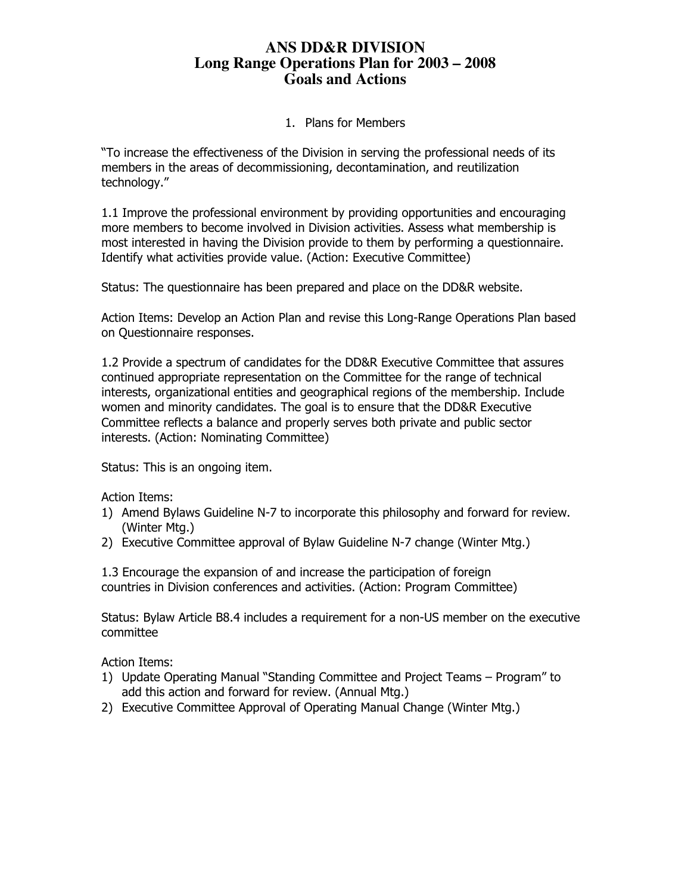### 1. Plans for Members

"To increase the effectiveness of the Division in serving the professional needs of its members in the areas of decommissioning, decontamination, and reutilization technology."

1.1 Improve the professional environment by providing opportunities and encouraging more members to become involved in Division activities. Assess what membership is most interested in having the Division provide to them by performing a questionnaire. Identify what activities provide value. (Action: Executive Committee)

Status: The questionnaire has been prepared and place on the DD&R website.

Action Items: Develop an Action Plan and revise this Long-Range Operations Plan based on Questionnaire responses.

1.2 Provide a spectrum of candidates for the DD&R Executive Committee that assures continued appropriate representation on the Committee for the range of technical interests, organizational entities and geographical regions of the membership. Include women and minority candidates. The goal is to ensure that the DD&R Executive Committee reflects a balance and properly serves both private and public sector interests. (Action: Nominating Committee)

Status: This is an ongoing item.

Action Items:

- 1) Amend Bylaws Guideline N-7 to incorporate this philosophy and forward for review. (Winter Mtg.)
- 2) Executive Committee approval of Bylaw Guideline N-7 change (Winter Mtg.)

1.3 Encourage the expansion of and increase the participation of foreign countries in Division conferences and activities. (Action: Program Committee)

Status: Bylaw Article B8.4 includes a requirement for a non-US member on the executive committee

- 1) Update Operating Manual "Standing Committee and Project Teams Program" to add this action and forward for review. (Annual Mtg.)
- 2) Executive Committee Approval of Operating Manual Change (Winter Mtg.)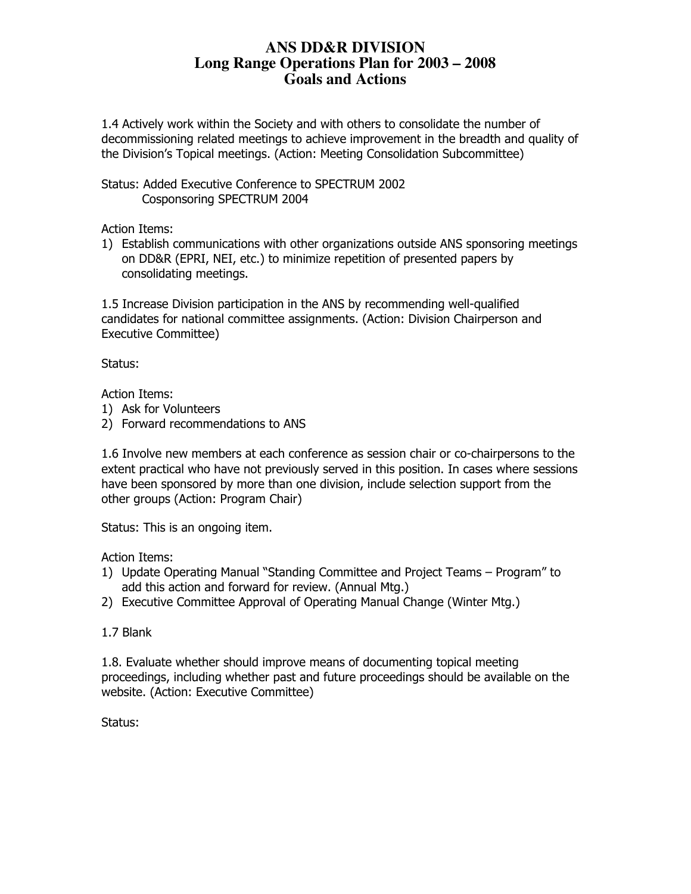1.4 Actively work within the Society and with others to consolidate the number of decommissioning related meetings to achieve improvement in the breadth and quality of the Division's Topical meetings. (Action: Meeting Consolidation Subcommittee)

Status: Added Executive Conference to SPECTRUM 2002 Cosponsoring SPECTRUM 2004

Action Items:

1) Establish communications with other organizations outside ANS sponsoring meetings on DD&R (EPRI, NEI, etc.) to minimize repetition of presented papers by consolidating meetings.

1.5 Increase Division participation in the ANS by recommending well-qualified candidates for national committee assignments. (Action: Division Chairperson and Executive Committee)

Status:

Action Items:

- 1) Ask for Volunteers
- 2) Forward recommendations to ANS

1.6 Involve new members at each conference as session chair or co-chairpersons to the extent practical who have not previously served in this position. In cases where sessions have been sponsored by more than one division, include selection support from the other groups (Action: Program Chair)

Status: This is an ongoing item.

Action Items:

- 1) Update Operating Manual "Standing Committee and Project Teams Program" to add this action and forward for review. (Annual Mtg.)
- 2) Executive Committee Approval of Operating Manual Change (Winter Mtg.)

1.7 Blank

1.8. Evaluate whether should improve means of documenting topical meeting proceedings, including whether past and future proceedings should be available on the website. (Action: Executive Committee)

Status: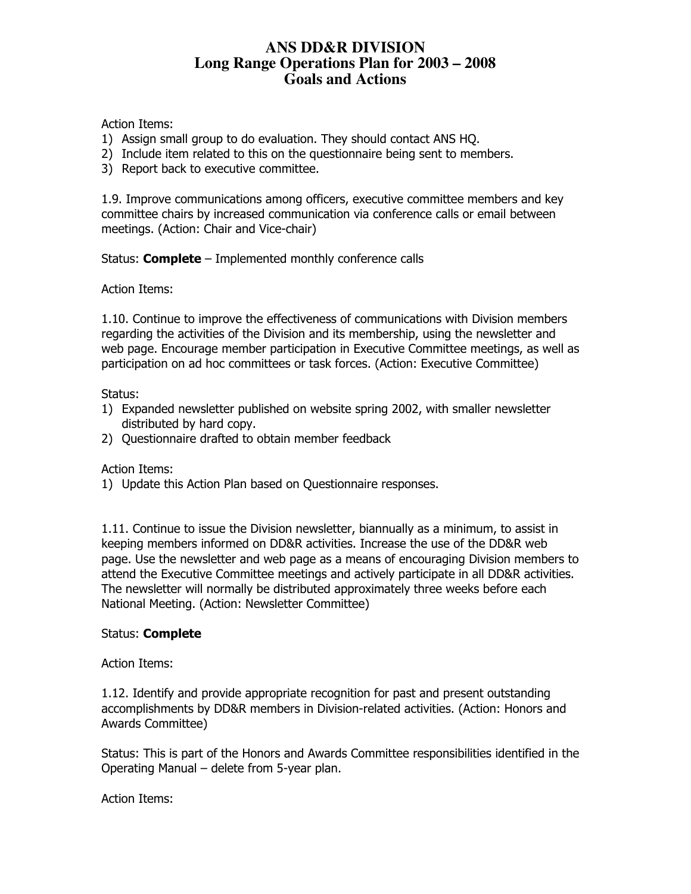Action Items:

- 1) Assign small group to do evaluation. They should contact ANS HQ.
- 2) Include item related to this on the questionnaire being sent to members.
- 3) Report back to executive committee.

1.9. Improve communications among officers, executive committee members and key committee chairs by increased communication via conference calls or email between meetings. (Action: Chair and Vice-chair)

Status: **Complete** – Implemented monthly conference calls

Action Items:

1.10. Continue to improve the effectiveness of communications with Division members regarding the activities of the Division and its membership, using the newsletter and web page. Encourage member participation in Executive Committee meetings, as well as participation on ad hoc committees or task forces. (Action: Executive Committee)

Status:

- 1) Expanded newsletter published on website spring 2002, with smaller newsletter distributed by hard copy.
- 2) Questionnaire drafted to obtain member feedback

Action Items:

1) Update this Action Plan based on Questionnaire responses.

1.11. Continue to issue the Division newsletter, biannually as a minimum, to assist in keeping members informed on DD&R activities. Increase the use of the DD&R web page. Use the newsletter and web page as a means of encouraging Division members to attend the Executive Committee meetings and actively participate in all DD&R activities. The newsletter will normally be distributed approximately three weeks before each National Meeting. (Action: Newsletter Committee)

### Status: **Complete**

Action Items:

1.12. Identify and provide appropriate recognition for past and present outstanding accomplishments by DD&R members in Division-related activities. (Action: Honors and Awards Committee)

Status: This is part of the Honors and Awards Committee responsibilities identified in the Operating Manual – delete from 5-year plan.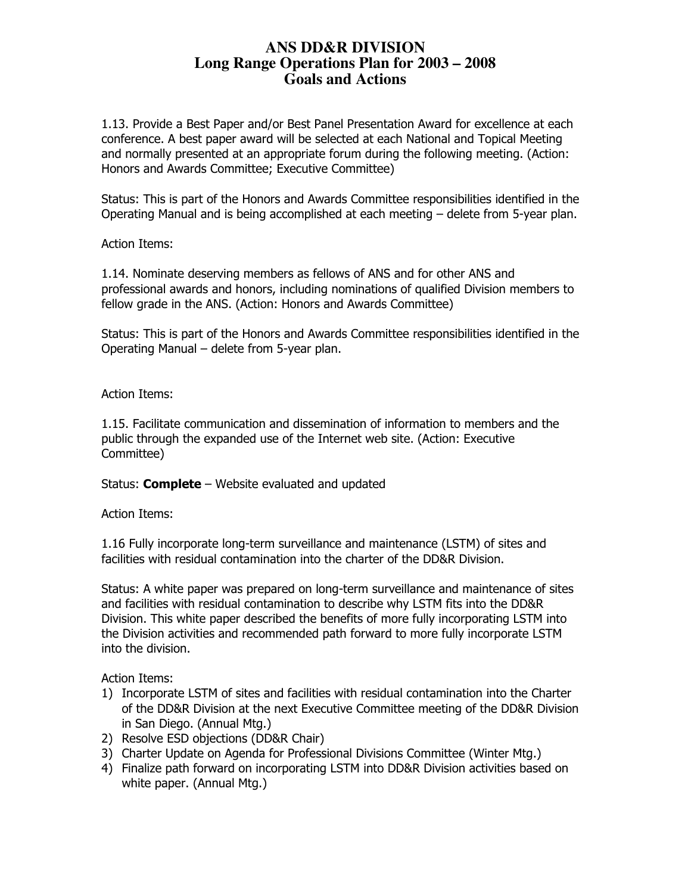1.13. Provide a Best Paper and/or Best Panel Presentation Award for excellence at each conference. A best paper award will be selected at each National and Topical Meeting and normally presented at an appropriate forum during the following meeting. (Action: Honors and Awards Committee; Executive Committee)

Status: This is part of the Honors and Awards Committee responsibilities identified in the Operating Manual and is being accomplished at each meeting – delete from 5-year plan.

### Action Items:

1.14. Nominate deserving members as fellows of ANS and for other ANS and professional awards and honors, including nominations of qualified Division members to fellow grade in the ANS. (Action: Honors and Awards Committee)

Status: This is part of the Honors and Awards Committee responsibilities identified in the Operating Manual – delete from 5-year plan.

#### Action Items:

1.15. Facilitate communication and dissemination of information to members and the public through the expanded use of the Internet web site. (Action: Executive Committee)

Status: **Complete** – Website evaluated and updated

Action Items:

1.16 Fully incorporate long-term surveillance and maintenance (LSTM) of sites and facilities with residual contamination into the charter of the DD&R Division.

Status: A white paper was prepared on long-term surveillance and maintenance of sites and facilities with residual contamination to describe why LSTM fits into the DD&R Division. This white paper described the benefits of more fully incorporating LSTM into the Division activities and recommended path forward to more fully incorporate LSTM into the division.

- 1) Incorporate LSTM of sites and facilities with residual contamination into the Charter of the DD&R Division at the next Executive Committee meeting of the DD&R Division in San Diego. (Annual Mtg.)
- 2) Resolve ESD objections (DD&R Chair)
- 3) Charter Update on Agenda for Professional Divisions Committee (Winter Mtg.)
- 4) Finalize path forward on incorporating LSTM into DD&R Division activities based on white paper. (Annual Mtg.)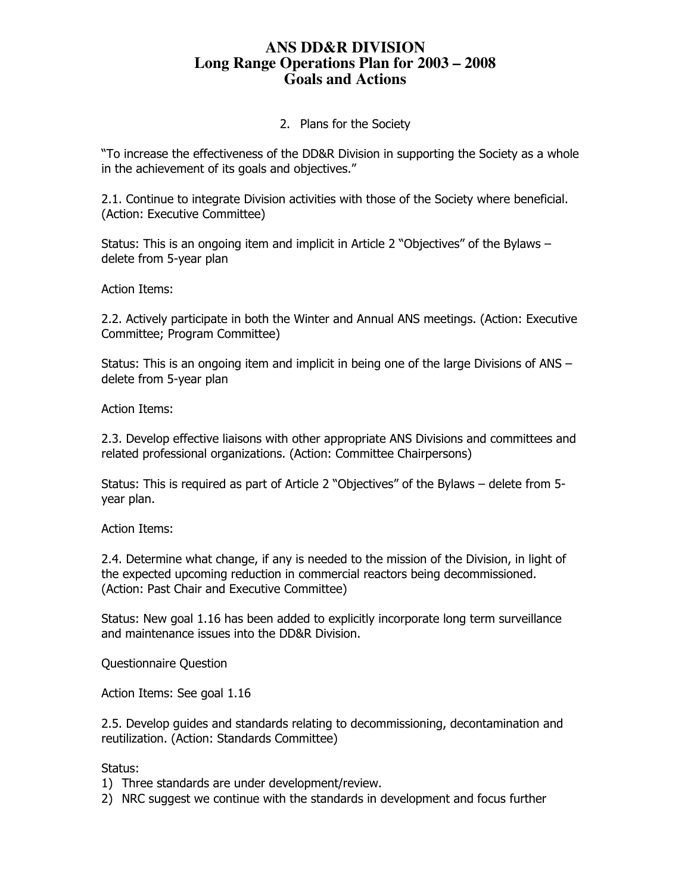## 2. Plans for the Society

"To increase the effectiveness of the DD&R Division in supporting the Society as a whole in the achievement of its goals and objectives."

2.1. Continue to integrate Division activities with those of the Society where beneficial. (Action: Executive Committee)

Status: This is an ongoing item and implicit in Article 2 "Objectives" of the Bylaws – delete from 5-year plan

Action Items:

2.2. Actively participate in both the Winter and Annual ANS meetings. (Action: Executive Committee; Program Committee)

Status: This is an ongoing item and implicit in being one of the large Divisions of ANS – delete from 5-year plan

Action Items:

2.3. Develop effective liaisons with other appropriate ANS Divisions and committees and related professional organizations. (Action: Committee Chairpersons)

Status: This is required as part of Article 2 "Objectives" of the Bylaws – delete from 5 year plan.

Action Items:

2.4. Determine what change, if any is needed to the mission of the Division, in light of the expected upcoming reduction in commercial reactors being decommissioned. (Action: Past Chair and Executive Committee)

Status: New goal 1.16 has been added to explicitly incorporate long term surveillance and maintenance issues into the DD&R Division.

Questionnaire Question

Action Items: See goal 1.16

2.5. Develop guides and standards relating to decommissioning, decontamination and reutilization. (Action: Standards Committee)

Status:

1) Three standards are under development/review.

2) NRC suggest we continue with the standards in development and focus further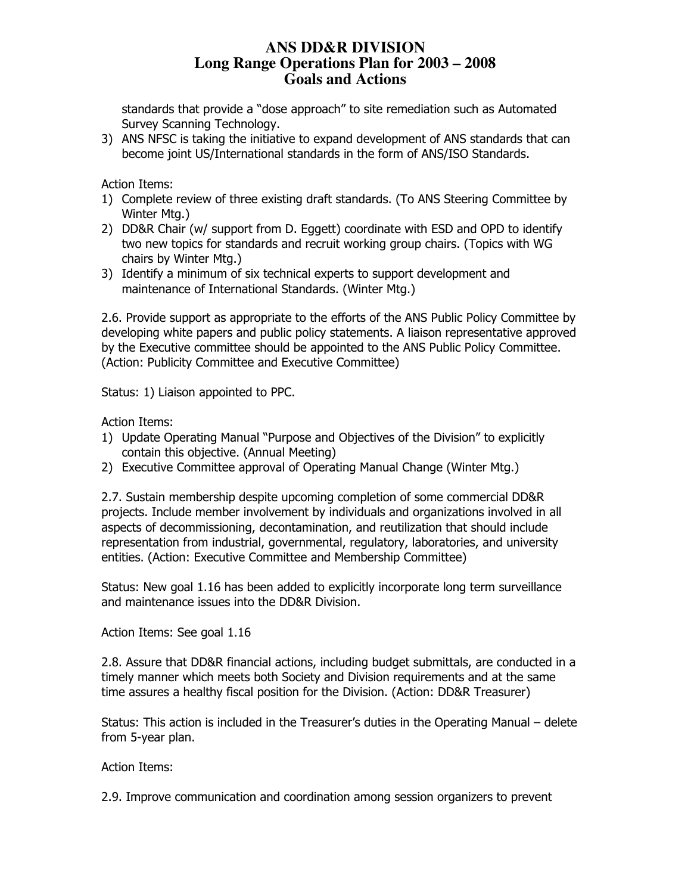standards that provide a "dose approach" to site remediation such as Automated Survey Scanning Technology.

3) ANS NFSC is taking the initiative to expand development of ANS standards that can become joint US/International standards in the form of ANS/ISO Standards.

Action Items:

- 1) Complete review of three existing draft standards. (To ANS Steering Committee by Winter Mtg.)
- 2) DD&R Chair (w/ support from D. Eggett) coordinate with ESD and OPD to identify two new topics for standards and recruit working group chairs. (Topics with WG chairs by Winter Mtg.)
- 3) Identify a minimum of six technical experts to support development and maintenance of International Standards. (Winter Mtg.)

2.6. Provide support as appropriate to the efforts of the ANS Public Policy Committee by developing white papers and public policy statements. A liaison representative approved by the Executive committee should be appointed to the ANS Public Policy Committee. (Action: Publicity Committee and Executive Committee)

Status: 1) Liaison appointed to PPC.

Action Items:

- 1) Update Operating Manual "Purpose and Objectives of the Division" to explicitly contain this objective. (Annual Meeting)
- 2) Executive Committee approval of Operating Manual Change (Winter Mtg.)

2.7. Sustain membership despite upcoming completion of some commercial DD&R projects. Include member involvement by individuals and organizations involved in all aspects of decommissioning, decontamination, and reutilization that should include representation from industrial, governmental, regulatory, laboratories, and university entities. (Action: Executive Committee and Membership Committee)

Status: New goal 1.16 has been added to explicitly incorporate long term surveillance and maintenance issues into the DD&R Division.

Action Items: See goal 1.16

2.8. Assure that DD&R financial actions, including budget submittals, are conducted in a timely manner which meets both Society and Division requirements and at the same time assures a healthy fiscal position for the Division. (Action: DD&R Treasurer)

Status: This action is included in the Treasurer's duties in the Operating Manual – delete from 5-year plan.

Action Items:

2.9. Improve communication and coordination among session organizers to prevent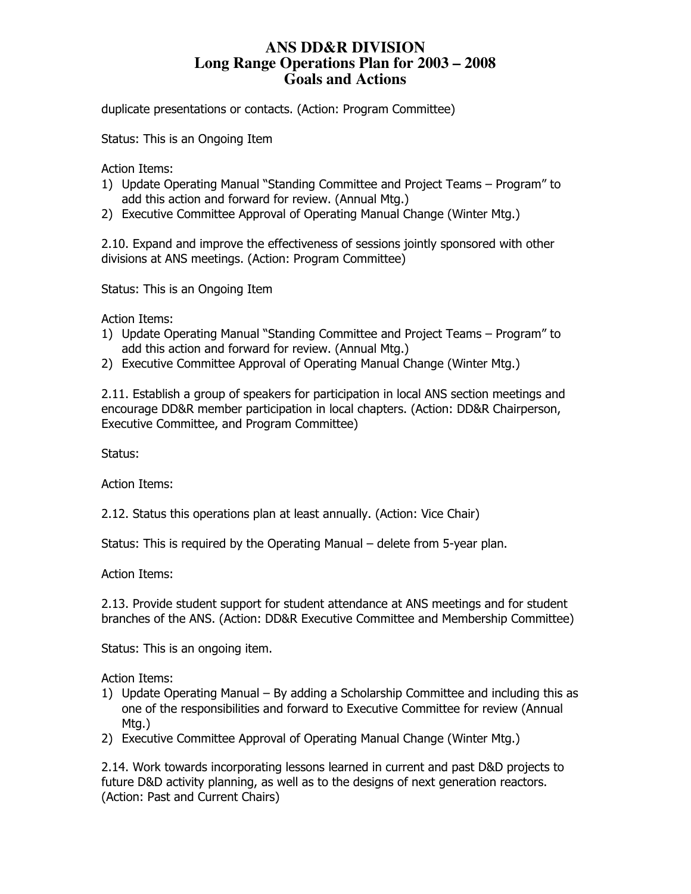duplicate presentations or contacts. (Action: Program Committee)

Status: This is an Ongoing Item

Action Items:

- 1) Update Operating Manual "Standing Committee and Project Teams Program" to add this action and forward for review. (Annual Mtg.)
- 2) Executive Committee Approval of Operating Manual Change (Winter Mtg.)

2.10. Expand and improve the effectiveness of sessions jointly sponsored with other divisions at ANS meetings. (Action: Program Committee)

Status: This is an Ongoing Item

Action Items:

- 1) Update Operating Manual "Standing Committee and Project Teams Program" to add this action and forward for review. (Annual Mtg.)
- 2) Executive Committee Approval of Operating Manual Change (Winter Mtg.)

2.11. Establish a group of speakers for participation in local ANS section meetings and encourage DD&R member participation in local chapters. (Action: DD&R Chairperson, Executive Committee, and Program Committee)

Status:

Action Items:

2.12. Status this operations plan at least annually. (Action: Vice Chair)

Status: This is required by the Operating Manual – delete from 5-year plan.

Action Items:

2.13. Provide student support for student attendance at ANS meetings and for student branches of the ANS. (Action: DD&R Executive Committee and Membership Committee)

Status: This is an ongoing item.

Action Items:

- 1) Update Operating Manual By adding a Scholarship Committee and including this as one of the responsibilities and forward to Executive Committee for review (Annual Mtg.)
- 2) Executive Committee Approval of Operating Manual Change (Winter Mtg.)

2.14. Work towards incorporating lessons learned in current and past D&D projects to future D&D activity planning, as well as to the designs of next generation reactors. (Action: Past and Current Chairs)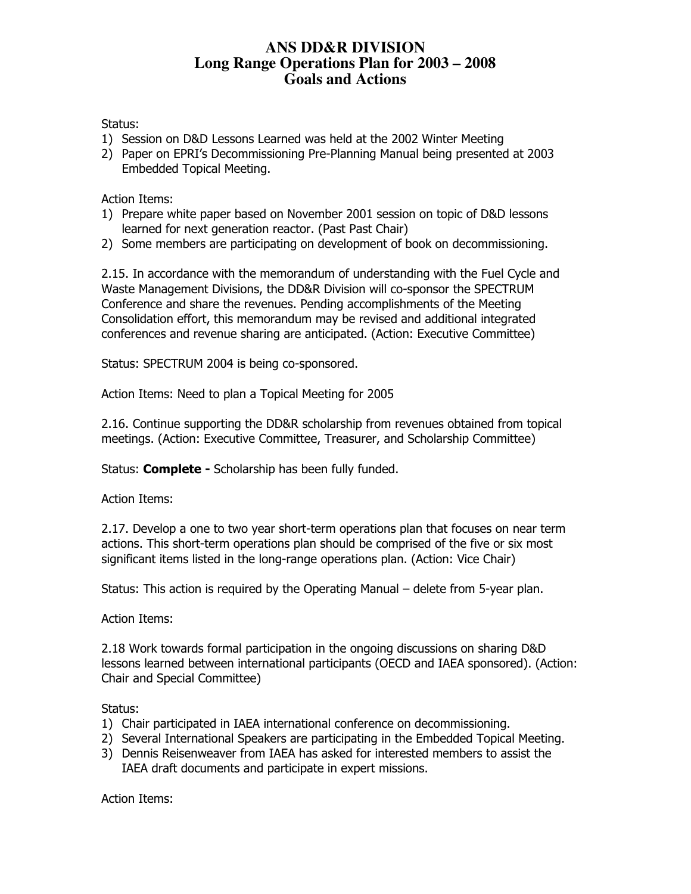Status:

- 1) Session on D&D Lessons Learned was held at the 2002 Winter Meeting
- 2) Paper on EPRI's Decommissioning Pre-Planning Manual being presented at 2003 Embedded Topical Meeting.

Action Items:

- 1) Prepare white paper based on November 2001 session on topic of D&D lessons learned for next generation reactor. (Past Past Chair)
- 2) Some members are participating on development of book on decommissioning.

2.15. In accordance with the memorandum of understanding with the Fuel Cycle and Waste Management Divisions, the DD&R Division will co-sponsor the SPECTRUM Conference and share the revenues. Pending accomplishments of the Meeting Consolidation effort, this memorandum may be revised and additional integrated conferences and revenue sharing are anticipated. (Action: Executive Committee)

Status: SPECTRUM 2004 is being co-sponsored.

Action Items: Need to plan a Topical Meeting for 2005

2.16. Continue supporting the DD&R scholarship from revenues obtained from topical meetings. (Action: Executive Committee, Treasurer, and Scholarship Committee)

Status: **Complete -** Scholarship has been fully funded.

Action Items:

2.17. Develop a one to two year short-term operations plan that focuses on near term actions. This short-term operations plan should be comprised of the five or six most significant items listed in the long-range operations plan. (Action: Vice Chair)

Status: This action is required by the Operating Manual – delete from 5-year plan.

Action Items:

2.18 Work towards formal participation in the ongoing discussions on sharing D&D lessons learned between international participants (OECD and IAEA sponsored). (Action: Chair and Special Committee)

Status:

- 1) Chair participated in IAEA international conference on decommissioning.
- 2) Several International Speakers are participating in the Embedded Topical Meeting.
- 3) Dennis Reisenweaver from IAEA has asked for interested members to assist the IAEA draft documents and participate in expert missions.